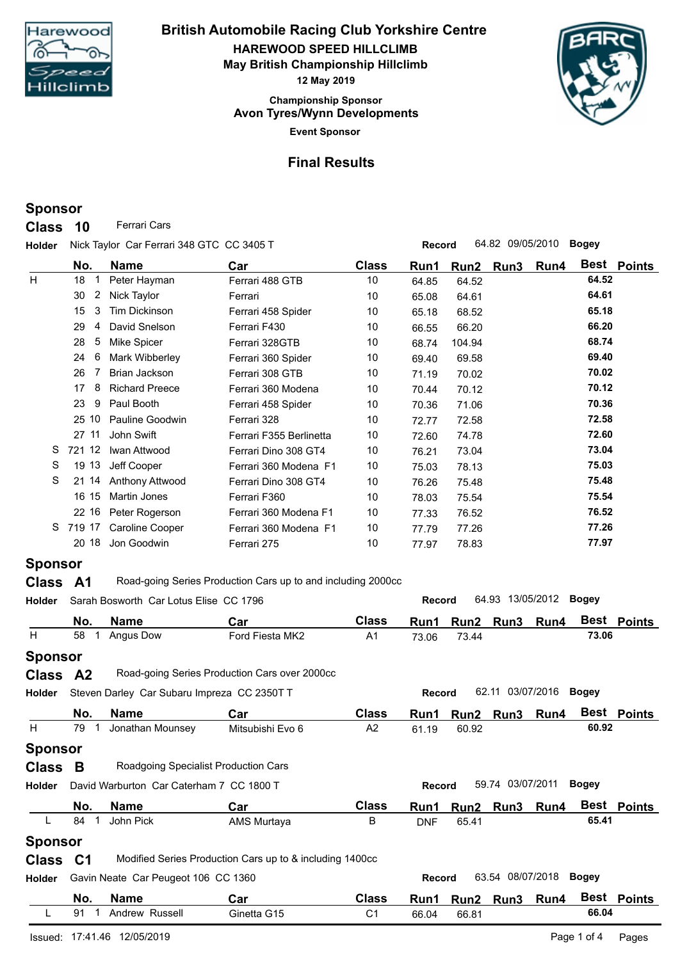

**Event Sponsor Championship Sponsor HAREWOOD SPEED HILLCLIMB British Automobile Racing Club Yorkshire Centre May British Championship Hillclimb 12 May 2019 Avon Tyres/Wynn Developments**



## **Final Results**

# **Sponsor**

**Class** 10 **Ferrari Cars** 

**Holder Record** 64.82 09/05/2010 **Bogey** Nick Taylor Car Ferrari 348 GTC CC 3405 T

|                | No.       | <b>Name</b>                            | Car                                                          | <b>Class</b> | Run1          | Run2   | Run3             | Run4 |              | Best Points |
|----------------|-----------|----------------------------------------|--------------------------------------------------------------|--------------|---------------|--------|------------------|------|--------------|-------------|
| H              | 18        | Peter Hayman                           | Ferrari 488 GTB                                              | 10           | 64.85         | 64.52  |                  |      | 64.52        |             |
|                | 2<br>30   | Nick Taylor                            | Ferrari                                                      | 10           | 65.08         | 64.61  |                  |      | 64.61        |             |
|                | 3<br>15   | <b>Tim Dickinson</b>                   | Ferrari 458 Spider                                           | 10           | 65.18         | 68.52  |                  |      | 65.18        |             |
|                | 29<br>4   | David Snelson                          | Ferrari F430                                                 | 10           | 66.55         | 66.20  |                  |      | 66.20        |             |
|                | 5<br>28   | Mike Spicer                            | Ferrari 328GTB                                               | 10           | 68.74         | 104.94 |                  |      | 68.74        |             |
|                | 6<br>24   | Mark Wibberley                         | Ferrari 360 Spider                                           | 10           | 69.40         | 69.58  |                  |      | 69.40        |             |
|                | 26        | <b>Brian Jackson</b>                   | Ferrari 308 GTB                                              | 10           | 71.19         | 70.02  |                  |      | 70.02        |             |
|                | 8<br>17   | <b>Richard Preece</b>                  | Ferrari 360 Modena                                           | 10           | 70.44         | 70.12  |                  |      | 70.12        |             |
|                | 9<br>23   | Paul Booth                             | Ferrari 458 Spider                                           | 10           | 70.36         | 71.06  |                  |      | 70.36        |             |
|                | 25 10     | Pauline Goodwin                        | Ferrari 328                                                  | 10           | 72.77         | 72.58  |                  |      | 72.58        |             |
|                | 27 11     | John Swift                             | Ferrari F355 Berlinetta                                      | 10           | 72.60         | 74.78  |                  |      | 72.60        |             |
| S              | 721 12    | Iwan Attwood                           | Ferrari Dino 308 GT4                                         | 10           | 76.21         | 73.04  |                  |      | 73.04        |             |
| S              | 19 13     | Jeff Cooper                            | Ferrari 360 Modena F1                                        | 10           | 75.03         | 78.13  |                  |      | 75.03        |             |
| S              | 21 14     | <b>Anthony Attwood</b>                 | Ferrari Dino 308 GT4                                         | 10           | 76.26         | 75.48  |                  |      | 75.48        |             |
|                | 16 15     | <b>Martin Jones</b>                    | Ferrari F360                                                 | 10           | 78.03         | 75.54  |                  |      | 75.54        |             |
|                | 22 16     | Peter Rogerson                         | Ferrari 360 Modena F1                                        | 10           | 77.33         | 76.52  |                  |      | 76.52        |             |
| S.             | 719 17    | <b>Caroline Cooper</b>                 | Ferrari 360 Modena F1                                        | 10           | 77.79         | 77.26  |                  |      | 77.26        |             |
|                | 20 18     | Jon Goodwin                            | Ferrari 275                                                  | 10           | 77.97         | 78.83  |                  |      | 77.97        |             |
| <b>Sponsor</b> |           |                                        |                                                              |              |               |        |                  |      |              |             |
| <b>Class</b>   | <b>A1</b> |                                        | Road-going Series Production Cars up to and including 2000cc |              |               |        |                  |      |              |             |
| <b>Holder</b>  |           | Sarah Bosworth Car Lotus Elise CC 1796 |                                                              |              | <b>Record</b> |        | 64.93 13/05/2012 |      | <b>Bogey</b> |             |
|                | No.       | <b>Name</b>                            | Car                                                          | <b>Class</b> | Run1          | Run2   | Run3             | Run4 |              | Best Points |
| H              | 58        | Angus Dow                              | Ford Fiesta MK2                                              | A1           | 73.06         | 73.44  |                  |      | 73.06        |             |

| Ħ.             | 58             | Angus Dow                                   | Ford Fiesta MK2                                          | A1             | 73.06         | 73.44 |                  |      | 73.Ub        |               |
|----------------|----------------|---------------------------------------------|----------------------------------------------------------|----------------|---------------|-------|------------------|------|--------------|---------------|
| <b>Sponsor</b> |                |                                             |                                                          |                |               |       |                  |      |              |               |
| <b>Class</b>   | A <sup>2</sup> |                                             | Road-going Series Production Cars over 2000cc            |                |               |       |                  |      |              |               |
| Holder         |                | Steven Darley Car Subaru Impreza CC 2350T T |                                                          |                | <b>Record</b> |       | 62.11 03/07/2016 |      | Bogey        |               |
|                | No.            | <b>Name</b>                                 | Car                                                      | <b>Class</b>   | Run1          | Run2  | Run <sub>3</sub> | Run4 |              | Best Points   |
| H              | 79             | Jonathan Mounsey                            | Mitsubishi Evo 6                                         | A2             | 61.19         | 60.92 |                  |      | 60.92        |               |
| <b>Sponsor</b> |                |                                             |                                                          |                |               |       |                  |      |              |               |
| <b>Class</b>   | B              |                                             | Roadgoing Specialist Production Cars                     |                |               |       |                  |      |              |               |
| <b>Holder</b>  |                | David Warburton Car Caterham 7 CC 1800 T    |                                                          |                | Record        |       | 59.74 03/07/2011 |      | Bogey        |               |
|                | No.            | <b>Name</b>                                 | Car                                                      | <b>Class</b>   | Run1          | Run2  | Run3             | Run4 | Best         | <b>Points</b> |
|                | 84             | John Pick                                   | AMS Murtaya                                              | В              | <b>DNF</b>    | 65.41 |                  |      | 65.41        |               |
| <b>Sponsor</b> |                |                                             |                                                          |                |               |       |                  |      |              |               |
| <b>Class</b>   | C <sub>1</sub> |                                             | Modified Series Production Cars up to & including 1400cc |                |               |       |                  |      |              |               |
| <b>Holder</b>  |                | Gavin Neate Car Peugeot 106 CC 1360         |                                                          |                | <b>Record</b> |       | 63.54 08/07/2018 |      | <b>Bogey</b> |               |
|                | No.            | <b>Name</b>                                 | Car                                                      | <b>Class</b>   | Run1          | Run2  | Run <sub>3</sub> | Run4 | <b>Best</b>  | <b>Points</b> |
|                | 91             | Andrew Russell                              | Ginetta G15                                              | C <sub>1</sub> | 66.04         | 66.81 |                  |      | 66.04        |               |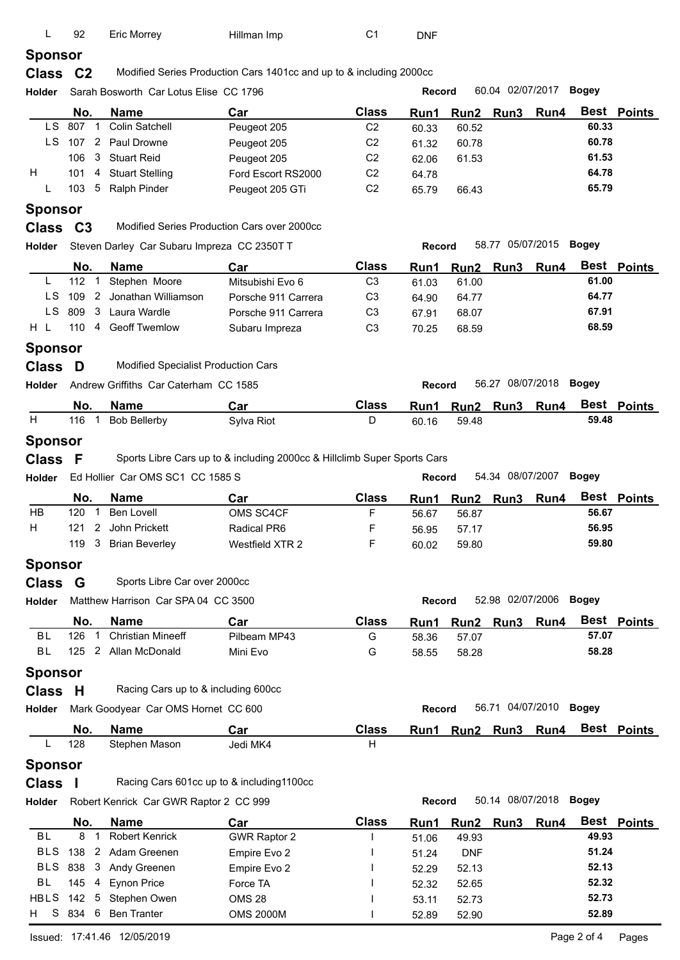| L              | 92                       | <b>Eric Morrey</b>                          | Hillman Imp                                                              | C <sub>1</sub>    | <b>DNF</b>     |                           |                     |                        |              |               |
|----------------|--------------------------|---------------------------------------------|--------------------------------------------------------------------------|-------------------|----------------|---------------------------|---------------------|------------------------|--------------|---------------|
| <b>Sponsor</b> |                          |                                             |                                                                          |                   |                |                           |                     |                        |              |               |
| <b>Class</b>   | C <sub>2</sub>           |                                             | Modified Series Production Cars 1401cc and up to & including 2000cc      |                   |                |                           |                     |                        |              |               |
| Holder         |                          | Sarah Bosworth Car Lotus Elise CC 1796      |                                                                          |                   | Record         |                           | 60.04 02/07/2017    |                        | <b>Bogey</b> |               |
|                | No.                      | Name                                        | Car                                                                      | <b>Class</b>      | Run1           | Run <sub>2</sub>          | Run <sub>3</sub>    | Run4                   | Best         | <b>Points</b> |
|                | LS 807<br>$\overline{1}$ | <b>Colin Satchell</b>                       | Peugeot 205                                                              | C <sub>2</sub>    | 60.33          | 60.52                     |                     |                        | 60.33        |               |
| LS.            | 107                      | 2 Paul Drowne                               | Peugeot 205                                                              | C <sub>2</sub>    | 61.32          | 60.78                     |                     |                        | 60.78        |               |
|                | 3<br>106                 | <b>Stuart Reid</b>                          | Peugeot 205                                                              | C <sub>2</sub>    | 62.06          | 61.53                     |                     |                        | 61.53        |               |
| H.             | 101<br>4                 | <b>Stuart Stelling</b>                      | Ford Escort RS2000                                                       | C <sub>2</sub>    | 64.78          |                           |                     |                        | 64.78        |               |
| L              | 103                      | 5 Ralph Pinder                              | Peugeot 205 GTi                                                          | C <sub>2</sub>    | 65.79          | 66.43                     |                     |                        | 65.79        |               |
| <b>Sponsor</b> |                          |                                             |                                                                          |                   |                |                           |                     |                        |              |               |
| <b>Class</b>   | C <sub>3</sub>           |                                             | Modified Series Production Cars over 2000cc                              |                   |                |                           |                     |                        |              |               |
| Holder         |                          | Steven Darley Car Subaru Impreza CC 2350T T |                                                                          |                   | Record         |                           | 58.77 05/07/2015    |                        | <b>Bogey</b> |               |
|                | No.                      | <b>Name</b>                                 | Car                                                                      | <b>Class</b>      |                |                           | Run3                | Run4                   |              | Best Points   |
| L              | 112<br>-1                | Stephen Moore                               | Mitsubishi Evo 6                                                         | C <sub>3</sub>    | Run1<br>61.03  | Run <sub>2</sub><br>61.00 |                     |                        | 61.00        |               |
| LS.            | 109<br>$\overline{2}$    | Jonathan Williamson                         | Porsche 911 Carrera                                                      | C <sub>3</sub>    | 64.90          | 64.77                     |                     |                        | 64.77        |               |
| LS.            | 809<br>3                 | Laura Wardle                                | Porsche 911 Carrera                                                      | C <sub>3</sub>    | 67.91          | 68.07                     |                     |                        | 67.91        |               |
| H L            | 110<br>4                 | <b>Geoff Twemlow</b>                        | Subaru Impreza                                                           | C <sub>3</sub>    |                | 68.59                     |                     |                        | 68.59        |               |
|                |                          |                                             |                                                                          |                   | 70.25          |                           |                     |                        |              |               |
| <b>Sponsor</b> |                          |                                             |                                                                          |                   |                |                           |                     |                        |              |               |
| <b>Class</b>   | D                        | Modified Specialist Production Cars         |                                                                          |                   |                |                           |                     |                        |              |               |
| Holder         |                          | Andrew Griffiths Car Caterham CC 1585       |                                                                          |                   | Record         |                           | 56.27 08/07/2018    |                        | <b>Bogey</b> |               |
|                | No.                      | <b>Name</b>                                 | Car                                                                      | <b>Class</b>      | Run1           | Run2                      | Run <sub>3</sub>    | Run4                   |              | Best Points   |
| H              | 116<br>$\overline{1}$    | <b>Bob Bellerby</b>                         | Sylva Riot                                                               | D                 | 60.16          | 59.48                     |                     |                        | 59.48        |               |
| <b>Sponsor</b> |                          |                                             |                                                                          |                   |                |                           |                     |                        |              |               |
| <b>Class</b>   | F                        |                                             | Sports Libre Cars up to & including 2000cc & Hillclimb Super Sports Cars |                   |                |                           |                     |                        |              |               |
| <b>Holder</b>  |                          | Ed Hollier Car OMS SC1 CC 1585 S            |                                                                          |                   | Record         |                           | 54.34 08/07/2007    |                        | <b>Bogey</b> |               |
|                |                          |                                             |                                                                          |                   |                |                           |                     |                        |              |               |
|                | No.<br>$\mathbf 1$       | <b>Name</b>                                 | Car                                                                      | <b>Class</b>      | Run1           | Run <sub>2</sub>          | Run <sub>3</sub>    | Run4                   | 56.67        | Best Points   |
| HB             | 120                      | <b>Ben Lovell</b>                           | OMS SC4CF                                                                | F                 | 56.67          | 56.87                     |                     |                        |              |               |
| н              | $\mathbf{2}$<br>121      | John Prickett                               | <b>Radical PR6</b>                                                       | F                 | 56.95          | 57.17                     |                     |                        | 56.95        |               |
|                |                          | 119 3 Brian Beverley                        | Westfield XTR 2                                                          | F                 | 60.02          | 59.80                     |                     |                        | 59.80        |               |
| <b>Sponsor</b> |                          |                                             |                                                                          |                   |                |                           |                     |                        |              |               |
| <b>Class</b>   | G                        | Sports Libre Car over 2000cc                |                                                                          |                   |                |                           |                     |                        |              |               |
| Holder         |                          | Matthew Harrison Car SPA 04 CC 3500         |                                                                          |                   | <b>Record</b>  |                           |                     | 52.98 02/07/2006 Bogey |              |               |
|                | No.                      | <b>Name</b>                                 | Car                                                                      | <b>Class</b>      | Run1           | Run <sub>2</sub>          |                     | Run3 Run4              |              | Best Points   |
| BL             | 126<br>$\overline{1}$    | <b>Christian Mineeff</b>                    | Pilbeam MP43                                                             | G                 | 58.36          | 57.07                     |                     |                        | 57.07        |               |
| <b>BL</b>      | 125                      | 2 Allan McDonald                            | Mini Evo                                                                 | G                 | 58.55          | 58.28                     |                     |                        | 58.28        |               |
| <b>Sponsor</b> |                          |                                             |                                                                          |                   |                |                           |                     |                        |              |               |
| Class H        |                          | Racing Cars up to & including 600cc         |                                                                          |                   |                |                           |                     |                        |              |               |
| Holder         |                          | Mark Goodyear Car OMS Hornet CC 600         |                                                                          |                   | <b>Record</b>  |                           |                     | 56.71 04/07/2010 Bogey |              |               |
|                |                          |                                             |                                                                          |                   |                |                           |                     |                        | Best         |               |
| L              | No.<br>128               | <b>Name</b><br>Stephen Mason                | Car<br>Jedi MK4                                                          | <b>Class</b><br>H |                |                           | Run1 Run2 Run3 Run4 |                        |              | <b>Points</b> |
|                |                          |                                             |                                                                          |                   |                |                           |                     |                        |              |               |
| <b>Sponsor</b> |                          |                                             |                                                                          |                   |                |                           |                     |                        |              |               |
| <b>Class</b>   | H                        |                                             | Racing Cars 601cc up to & including1100cc                                |                   |                |                           |                     |                        |              |               |
| Holder         |                          | Robert Kenrick Car GWR Raptor 2 CC 999      |                                                                          |                   | <b>Record</b>  |                           | 50.14 08/07/2018    |                        | <b>Bogey</b> |               |
|                | No.                      | <b>Name</b>                                 | Car                                                                      | <b>Class</b>      | Run1           | Run2                      |                     | Run3 Run4              |              | Best Points   |
| BL             | 8<br>$\overline{1}$      | <b>Robert Kenrick</b>                       | <b>GWR Raptor 2</b>                                                      |                   | 51.06          | 49.93                     |                     |                        | 49.93        |               |
| <b>BLS</b>     |                          | 138 2 Adam Greenen                          | Empire Evo 2                                                             |                   | 51.24          | <b>DNF</b>                |                     |                        | 51.24        |               |
| <b>BLS</b>     | 838                      | 3 Andy Greenen                              | Empire Evo 2                                                             |                   | 52.29          | 52.13                     |                     |                        | 52.13        |               |
| <b>BL</b>      |                          | 4 Eynon Price                               |                                                                          |                   |                |                           |                     |                        | 52.32        |               |
|                | 145                      |                                             | Force TA                                                                 |                   | 52.32          | 52.65                     |                     |                        |              |               |
|                |                          | HBLS 142 5 Stephen Owen                     | <b>OMS 28</b>                                                            |                   |                |                           |                     |                        | 52.73        |               |
| H.             |                          | S 834 6 Ben Tranter                         | <b>OMS 2000M</b>                                                         |                   | 53.11<br>52.89 | 52.73<br>52.90            |                     |                        | 52.89        |               |

Issued: 17:41.46 12/05/2019 Page 2 of 4 Pages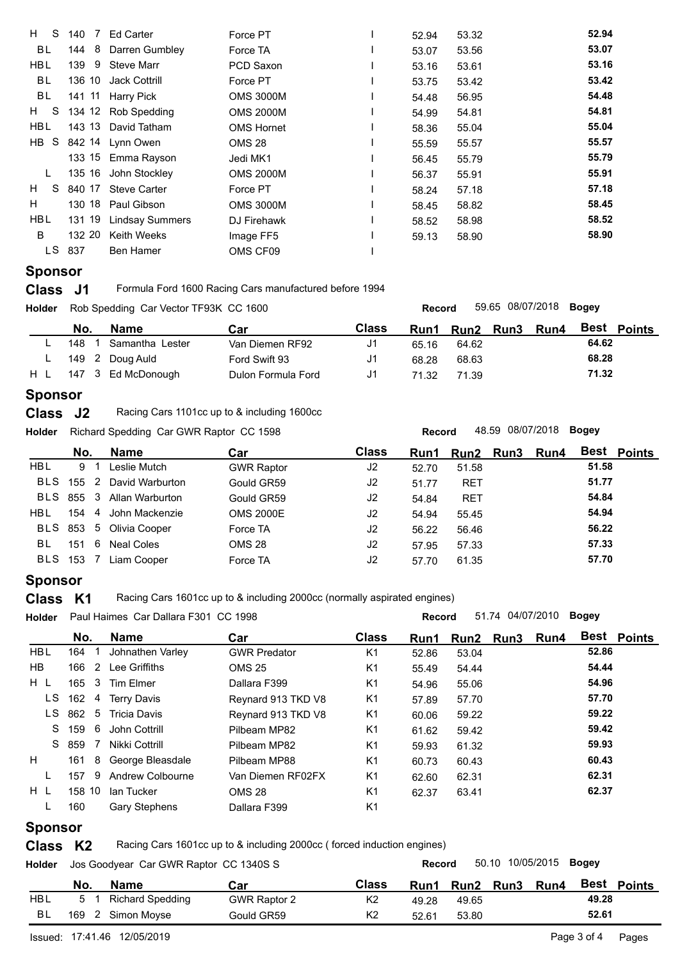| 140 7      | Ed Carter              | Force PT                                                                                                                                                                                                                                    | 52.94 | 53.32 | 52.94 |
|------------|------------------------|---------------------------------------------------------------------------------------------------------------------------------------------------------------------------------------------------------------------------------------------|-------|-------|-------|
|            |                        | Force TA                                                                                                                                                                                                                                    | 53.07 | 53.56 | 53.07 |
| 139        | Steve Marr             | PCD Saxon                                                                                                                                                                                                                                   | 53.16 | 53.61 | 53.16 |
|            |                        | Force PT                                                                                                                                                                                                                                    | 53.75 | 53.42 | 53.42 |
|            |                        | <b>OMS 3000M</b>                                                                                                                                                                                                                            | 54.48 | 56.95 | 54.48 |
|            |                        | <b>OMS 2000M</b>                                                                                                                                                                                                                            | 54.99 | 54.81 | 54.81 |
|            |                        | <b>OMS Hornet</b>                                                                                                                                                                                                                           | 58.36 | 55.04 | 55.04 |
|            |                        | OMS 28                                                                                                                                                                                                                                      | 55.59 | 55.57 | 55.57 |
|            |                        | Jedi MK1                                                                                                                                                                                                                                    | 56.45 | 55.79 | 55.79 |
|            |                        | <b>OMS 2000M</b>                                                                                                                                                                                                                            | 56.37 | 55.91 | 55.91 |
|            |                        | Force PT                                                                                                                                                                                                                                    | 58.24 | 57.18 | 57.18 |
|            |                        | <b>OMS 3000M</b>                                                                                                                                                                                                                            | 58.45 | 58.82 | 58.45 |
| 131 19     | <b>Lindsay Summers</b> | DJ Firehawk                                                                                                                                                                                                                                 | 58.52 | 58.98 | 58.52 |
| 132 20     | Keith Weeks            | Image FF5                                                                                                                                                                                                                                   | 59.13 | 58.90 | 58.90 |
| 837        | <b>Ben Hamer</b>       | OMS CF09                                                                                                                                                                                                                                    |       |       |       |
| H S<br>LS. | $H$ S<br>$H$ S         | 144 8<br>Darren Gumbley<br>9<br>136 10 Jack Cottrill<br>141 11 Harry Pick<br>134 12 Rob Spedding<br>143 13 David Tatham<br>HB S 842 14 Lynn Owen<br>133 15 Emma Rayson<br>135 16 John Stockley<br>840 17 Steve Carter<br>130 18 Paul Gibson |       |       |       |

## **Sponsor**

**Class** J1 Formula Ford 1600 Racing Cars manufactured before 1994

| Holder |     | Rob Spedding Car Vector TF93K CC 1600 |                    |              | 59.65 08/07/2018 <b>Bogey</b><br><b>Record</b> |           |  |      |       |                    |  |  |  |
|--------|-----|---------------------------------------|--------------------|--------------|------------------------------------------------|-----------|--|------|-------|--------------------|--|--|--|
|        | No. | Name                                  | Car                | <b>Class</b> | Run1                                           | Run2 Run3 |  | Run4 |       | <b>Best Points</b> |  |  |  |
|        | 148 | Samantha Lester                       | Van Diemen RF92    | J1           | 65.16                                          | 64.62     |  |      | 64.62 |                    |  |  |  |
|        |     | 149 2 Doug Auld                       | Ford Swift 93      | J1           | 68.28                                          | 68.63     |  |      | 68.28 |                    |  |  |  |
| H L    |     | 147 3 Ed McDonough                    | Dulon Formula Ford | J1           | 71.32                                          | 71.39     |  |      | 71.32 |                    |  |  |  |
|        |     |                                       |                    |              |                                                |           |  |      |       |                    |  |  |  |

#### **Sponsor**

| Class J2 |  | Racing Cars 1101cc up to & including 1600cc |
|----------|--|---------------------------------------------|
|----------|--|---------------------------------------------|

**Holder Record** 48.59 08/07/2018 **Bogey** Richard Spedding Car GWR Raptor CC 1598

|            | No.   | Name                      | Car               | <b>Class</b>   | Run1  | Run2 Run3  | Run4 |       | <b>Best Points</b> |
|------------|-------|---------------------------|-------------------|----------------|-------|------------|------|-------|--------------------|
| <b>HBL</b> | 9 1   | Leslie Mutch              | <b>GWR Raptor</b> | J2             | 52.70 | 51.58      |      | 51.58 |                    |
| BLS        |       | 155 2 David Warburton     | Gould GR59        | J2             | 51.77 | <b>RET</b> |      | 51.77 |                    |
|            |       | BLS 855 3 Allan Warburton | Gould GR59        | J2             | 54.84 | <b>RET</b> |      | 54.84 |                    |
| HBL.       |       | 154 4 John Mackenzie      | <b>OMS 2000E</b>  | J <sub>2</sub> | 54.94 | 55.45      |      | 54.94 |                    |
|            |       | BLS 853 5 Olivia Cooper   | Force TA          | J <sub>2</sub> | 56.22 | 56.46      |      | 56.22 |                    |
| BL         | 151 6 | Neal Coles                | OMS 28            | J <sub>2</sub> | 57.95 | 57.33      |      | 57.33 |                    |
| BLS        | 153   | Liam Cooper               | Force TA          | J <sub>2</sub> | 57.70 | 61.35      |      | 57.70 |                    |
|            |       |                           |                   |                |       |            |      |       |                    |

#### **Sponsor**

**Class K1** Racing Cars 1601cc up to & including 2000cc (normally aspirated engines)

| <b>Holder</b> | Paul Haimes Car Dallara F301 CC 1998 |  |                       |                     |                |       | 51.74 04/07/2010<br><b>Bogey</b><br><b>Record</b> |           |      |       |                    |  |  |  |
|---------------|--------------------------------------|--|-----------------------|---------------------|----------------|-------|---------------------------------------------------|-----------|------|-------|--------------------|--|--|--|
|               | No.                                  |  | <b>Name</b>           | Car                 | <b>Class</b>   | Run1  |                                                   | Run2 Run3 | Run4 |       | <b>Best Points</b> |  |  |  |
| <b>HBL</b>    | 164                                  |  | Johnathen Varley      | <b>GWR Predator</b> | K <sub>1</sub> | 52.86 | 53.04                                             |           |      | 52.86 |                    |  |  |  |
| HB.           |                                      |  | 166 2 Lee Griffiths   | <b>OMS 25</b>       | K <sub>1</sub> | 55.49 | 54.44                                             |           |      | 54.44 |                    |  |  |  |
| H L           |                                      |  | 165 3 Tim Elmer       | Dallara F399        | K <sub>1</sub> | 54.96 | 55.06                                             |           |      | 54.96 |                    |  |  |  |
| LS.           |                                      |  | 162 4 Terry Davis     | Reynard 913 TKD V8  | K <sub>1</sub> | 57.89 | 57.70                                             |           |      | 57.70 |                    |  |  |  |
| LS.           |                                      |  | 862 5 Tricia Davis    | Reynard 913 TKD V8  | K <sub>1</sub> | 60.06 | 59.22                                             |           |      | 59.22 |                    |  |  |  |
|               |                                      |  | S 159 6 John Cottrill | Pilbeam MP82        | K <sub>1</sub> | 61.62 | 59.42                                             |           |      | 59.42 |                    |  |  |  |
|               | S 859 7                              |  | Nikki Cottrill        | Pilbeam MP82        | K <sub>1</sub> | 59.93 | 61.32                                             |           |      | 59.93 |                    |  |  |  |
| H             | 161                                  |  | 8 George Bleasdale    | Pilbeam MP88        | K <sub>1</sub> | 60.73 | 60.43                                             |           |      | 60.43 |                    |  |  |  |
|               | 157                                  |  | 9 Andrew Colbourne    | Van Diemen RF02FX   | K <sub>1</sub> | 62.60 | 62.31                                             |           |      | 62.31 |                    |  |  |  |
| $H$ L         | 158 10                               |  | lan Tucker            | <b>OMS 28</b>       | K <sub>1</sub> | 62.37 | 63.41                                             |           |      | 62.37 |                    |  |  |  |
|               | 160                                  |  | <b>Gary Stephens</b>  | Dallara F399        | K <sub>1</sub> |       |                                                   |           |      |       |                    |  |  |  |

### **Sponsor**

**Class K2** Racing Cars 1601cc up to & including 2000cc (forced induction engines)

**Holder Record** 50.10 10/05/2015 **Bogey** Jos Goodyear Car GWR Raptor CC 1340S S **No. Name Car Car Class Run1 Run2 Run3 Run4 Best Points 5** 1 **Richard Spedding GWR Raptor 2 K2 49.28 49.65 49.28 Car** HBL 5 1 Richard Spedding GWR Raptor 2 K2 49.28 49.65 **49.28** BL 169 2 Simon Moyse Gould GR59 K2 52.61 53.80 **52.61**